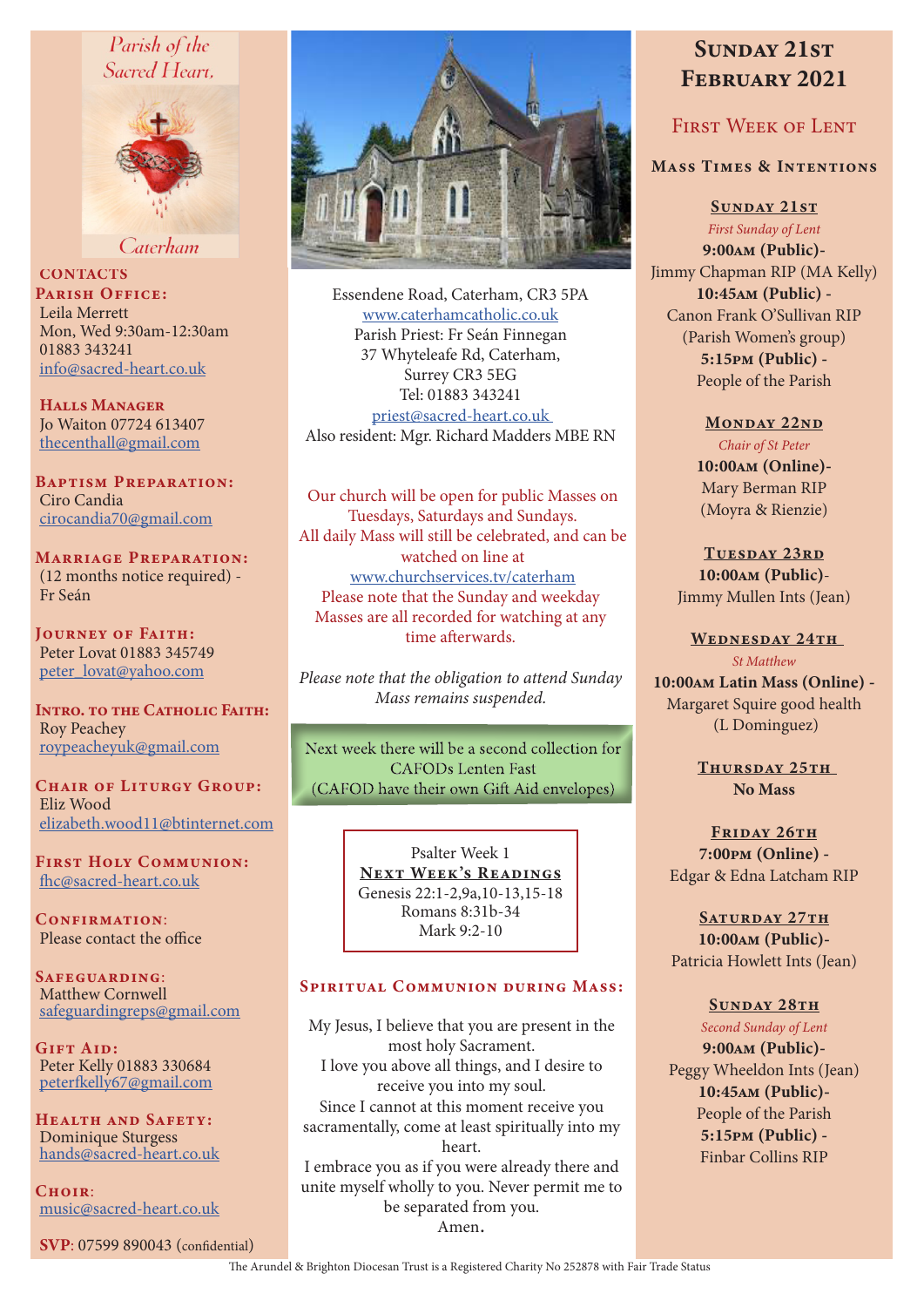# Parish of the Sacred Heart.



Caterham

**CONTACTS** PARISH OFFICE: Leila Merrett Mon, Wed 9:30am-12:30am 01883 343241 info@sacred-heart.co.uk

Halls Manager Jo Waiton 07724 613407 thecenthall@gmail.com

Baptism Preparation: Ciro Candia cirocandia70@gmail.com

Marriage Preparation: (12 months notice required) - Fr Seán

Journey of Faith: Peter Lovat 01883 345749 peter\_lovat@yahoo.com

INTRO. TO THE CATHOLIC FAITH: Roy Peachey roypeacheyuk@gmail.com

CHAIR OF LITURGY GROUP: Eliz Wood elizabeth.wood11@btinternet.com

First Holy Communion: fhc@sacred-heart.co.uk

CONFIRMATION: Please contact the office

Safeguarding: Matthew Cornwell safeguardingreps@gmail.com

Gift Aid: Peter Kelly 01883 330684 peterfkelly67@gmail.com

Health and Safety: Dominique Sturgess hands@sacred-heart.co.uk

 $C$ HOIR $\cdot$ music@sacred-heart.co.uk

SVP: 07599 890043 (confidential)



Essendene Road, Caterham, CR3 5PA www.caterhamcatholic.co.uk Parish Priest: Fr Seán Finnegan 37 Whyteleafe Rd, Caterham, Surrey CR3 5EG Tel: 01883 343241 priest@sacred-heart.co.uk Also resident: Mgr. Richard Madders MBE RN

Our church will be open for public Masses on Tuesdays, Saturdays and Sundays. All daily Mass will still be celebrated, and can be watched on line at www.churchservices.tv/caterham Please note that the Sunday and weekday Masses are all recorded for watching at any time afterwards.

*Please note that the obligation to attend Sunday Mass remains suspended.*

Next week there will be a second collection for **CAFODs Lenten Fast** (CAFOD have their own Gift Aid envelopes)

> Psalter Week 1 NEXT WEEK'S READINGS Genesis 22:1-2,9a,10-13,15-18 Romans 8:31b-34 Mark 9:2-10

#### Spiritual Communion during Mass:

My Jesus, I believe that you are present in the most holy Sacrament. I love you above all things, and I desire to receive you into my soul. Since I cannot at this moment receive you sacramentally, come at least spiritually into my heart. I embrace you as if you were already there and unite myself wholly to you. Never permit me to be separated from you. Amen.

# SUNDAY 21ST February 2021

# FIRST WEEK OF LENT

### Mass Times & Intentions

SUNDAY 21ST

*First Sunday of Lent* 9:00am (Public)- Jimmy Chapman RIP (MA Kelly) 10:45am (Public) - Canon Frank O'Sullivan RIP

> (Parish Women's group) 5:15pm (Public) - People of the Parish

> > MONDAY 22ND

*Chair of St Peter* 10:00am (Online)- Mary Berman RIP (Moyra & Rienzie)

TUESDAY 23RD 10:00am (Public)- Jimmy Mullen Ints (Jean)

WEDNESDAY 24TH *St Matthew*

10:00am Latin Mass (Online) - Margaret Squire good health (L Dominguez)

> THURSDAY 25TH No Mass

FRIDAY 26TH 7:00pm (Online) - Edgar & Edna Latcham RIP

SATURDAY 27TH 10:00am (Public)- Patricia Howlett Ints (Jean)

#### SUNDAY 28TH

*Second Sunday of Lent* 9:00am (Public)- Peggy Wheeldon Ints (Jean) 10:45am (Public)- People of the Parish 5:15pm (Public) - Finbar Collins RIP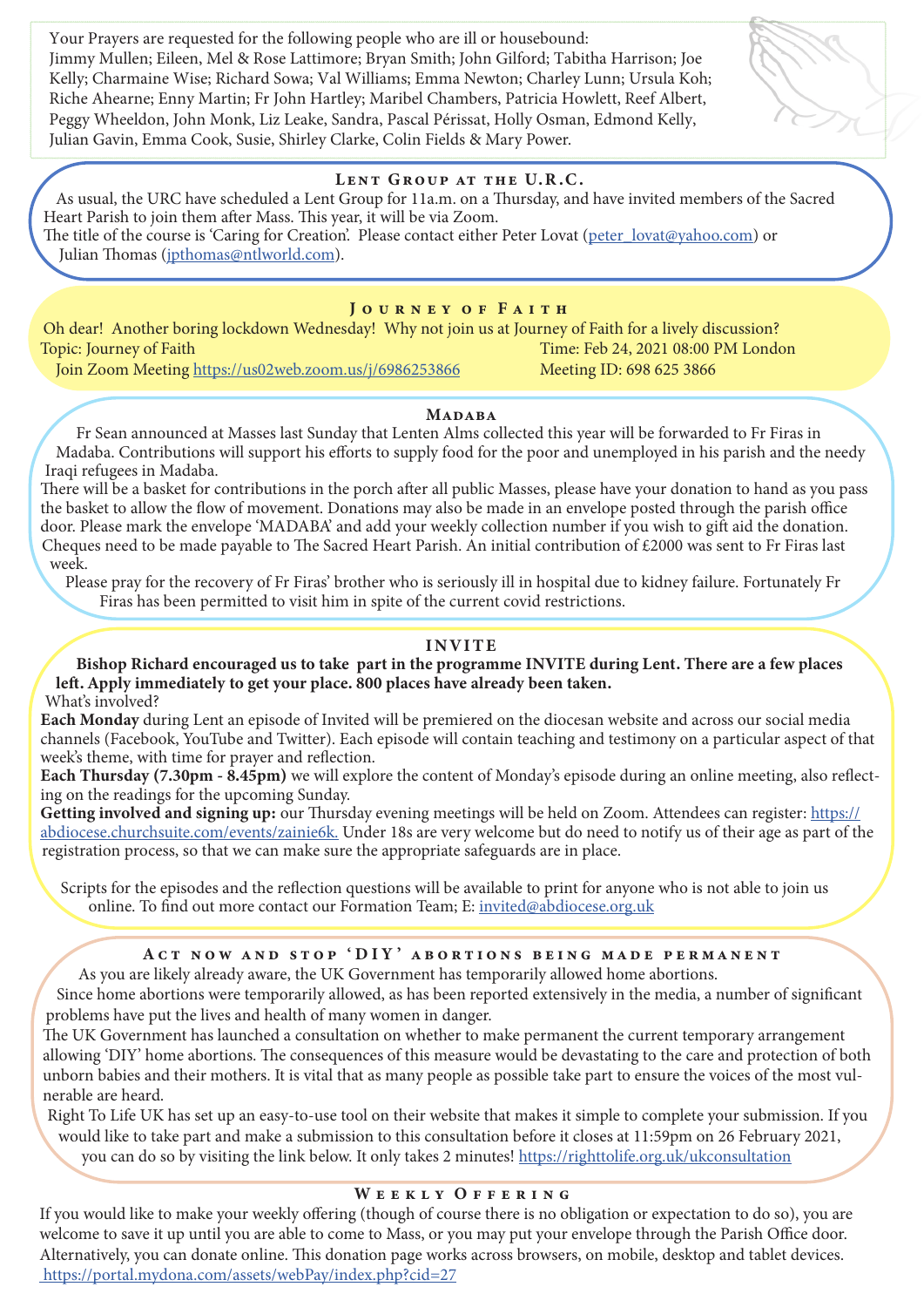Your Prayers are requested for the following people who are ill or housebound: Jimmy Mullen; Eileen, Mel & Rose Lattimore; Bryan Smith; John Gilford; Tabitha Harrison; Joe Kelly; Charmaine Wise; Richard Sowa; Val Williams; Emma Newton; Charley Lunn; Ursula Koh; Riche Ahearne; Enny Martin; Fr John Hartley; Maribel Chambers, Patricia Howlett, Reef Albert, Peggy Wheeldon, John Monk, Liz Leake, Sandra, Pascal Périssat, Holly Osman, Edmond Kelly, Julian Gavin, Emma Cook, Susie, Shirley Clarke, Colin Fields & Mary Power.

### LENT GROUP AT THE U.R.C.

As usual, the URC have scheduled a Lent Group for 11a.m. on a Thursday, and have invited members of the Sacred Heart Parish to join them after Mass. This year, it will be via Zoom. The title of the course is 'Caring for Creation'. Please contact either Peter Lovat (peter\_lovat@yahoo.com) or Julian Thomas (jpthomas@ntlworld.com).

#### JOURNEY OF FAITH

Oh dear! Another boring lockdown Wednesday! Why not join us at Journey of Faith for a lively discussion? Topic: Journey of Faith Time: Feb 24, 2021 08:00 PM London

Join Zoom Meeting https://us02web.zoom.us/j/6986253866 Meeting ID: 698 625 3866

#### **MADABA**

Fr Sean announced at Masses last Sunday that Lenten Alms collected this year will be forwarded to Fr Firas in Madaba. Contributions will support his efforts to supply food for the poor and unemployed in his parish and the needy Iraqi refugees in Madaba.

There will be a basket for contributions in the porch after all public Masses, please have your donation to hand as you pass the basket to allow the flow of movement. Donations may also be made in an envelope posted through the parish office door. Please mark the envelope 'MADABA' and add your weekly collection number if you wish to gift aid the donation. Cheques need to be made payable to The Sacred Heart Parish. An initial contribution of  $\text{\pounds}2000$  was sent to Fr Firas last week.

Please pray for the recovery of Fr Firas' brother who is seriously ill in hospital due to kidney failure. Fortunately Fr Firas has been permitted to visit him in spite of the current covid restrictions.

## INVITE

Bishop Richard encouraged us to take part in the programme INVITE during Lent. There are a few places left. Apply immediately to get your place. 800 places have already been taken. What's involved?

Each Monday during Lent an episode of Invited will be premiered on the diocesan website and across our social media channels (Facebook, YouTube and Twitter). Each episode will contain teaching and testimony on a particular aspect of that week's theme, with time for prayer and reflection.

Each Thursday (7.30pm - 8.45pm) we will explore the content of Monday's episode during an online meeting, also reflecting on the readings for the upcoming Sunday.

Getting involved and signing up: our Thursday evening meetings will be held on Zoom. Attendees can register: https:// abdiocese.churchsuite.com/events/zainie6k. Under 18s are very welcome but do need to notify us of their age as part of the registration process, so that we can make sure the appropriate safeguards are in place.

Scripts for the episodes and the reflection questions will be available to print for anyone who is not able to join us online. To find out more contact our Formation Team; E: invited@abdiocese.org.uk

# Act now and stop 'DIY ' abortions being made permanent

As you are likely already aware, the UK Government has temporarily allowed home abortions.

Since home abortions were temporarily allowed, as has been reported extensively in the media, a number of significant problems have put the lives and health of many women in danger.

The UK Government has launched a consultation on whether to make permanent the current temporary arrangement allowing 'DIY' home abortions. The consequences of this measure would be devastating to the care and protection of both unborn babies and their mothers. It is vital that as many people as possible take part to ensure the voices of the most vulnerable are heard.

Right To Life UK has set up an easy-to-use tool on their website that makes it simple to complete your submission. If you would like to take part and make a submission to this consultation before it closes at 11:59pm on 26 February 2021,

# you can do so by visiting the link below. It only takes 2 minutes! https://righttolife.org.uk/ukconsultation

### WEEKLY OFFERING

If you would like to make your weekly offering (though of course there is no obligation or expectation to do so), you are welcome to save it up until you are able to come to Mass, or you may put your envelope through the Parish Office door. Alternatively, you can donate online. This donation page works across browsers, on mobile, desktop and tablet devices. https://portal.mydona.com/assets/webPay/index.php?cid=27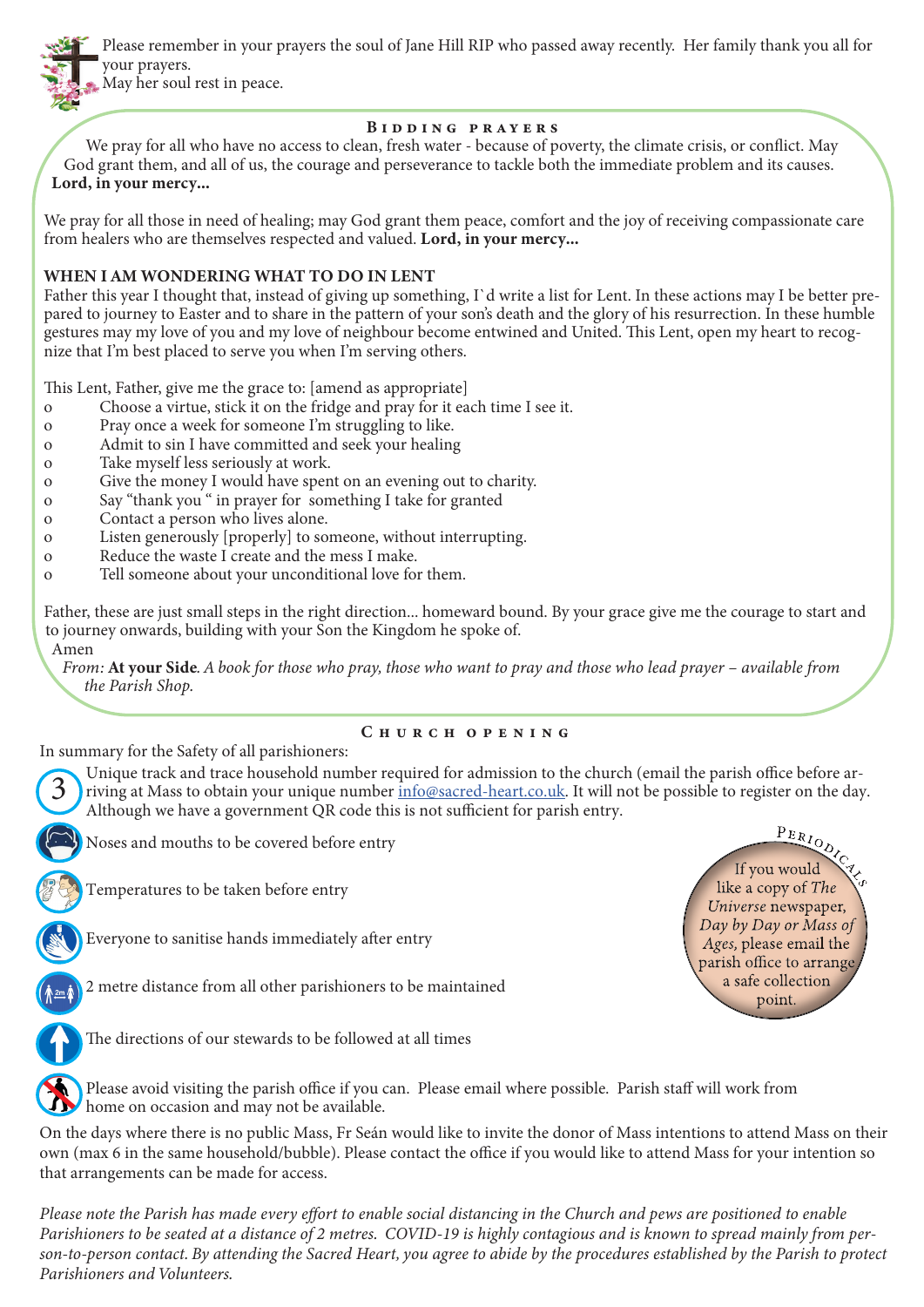

Please remember in your prayers the soul of Jane Hill RIP who passed away recently. Her family thank you all for your prayers.

May her soul rest in peace.

### Bidding prayers

We pray for all who have no access to clean, fresh water - because of poverty, the climate crisis, or conflict. May God grant them, and all of us, the courage and perseverance to tackle both the immediate problem and its causes. Lord, in your mercy...

We pray for all those in need of healing; may God grant them peace, comfort and the joy of receiving compassionate care from healers who are themselves respected and valued. Lord, in your mercy...

# WHEN I AM WONDERING WHAT TO DO IN LENT

Father this year I thought that, instead of giving up something, I`d write a list for Lent. In these actions may I be better prepared to journey to Easter and to share in the pattern of your son's death and the glory of his resurrection. In these humble gestures may my love of you and my love of neighbour become entwined and United. This Lent, open my heart to recognize that I'm best placed to serve you when I'm serving others.

This Lent, Father, give me the grace to: [amend as appropriate]

- o Choose a virtue, stick it on the fridge and pray for it each time I see it.
- o Pray once a week for someone I'm struggling to like.
- o Admit to sin I have committed and seek your healing
- o Take myself less seriously at work.
- o Give the money I would have spent on an evening out to charity.
- o Say "thank you " in prayer for something I take for granted
- o Contact a person who lives alone.
- o Listen generously [properly] to someone, without interrupting.
- o Reduce the waste I create and the mess I make.
- o Tell someone about your unconditional love for them.

Father, these are just small steps in the right direction... homeward bound. By your grace give me the courage to start and to journey onwards, building with your Son the Kingdom he spoke of.

Amen

3

*From:* At your Side*. A book for those who pray, those who want to pray and those who lead prayer – available from the Parish Shop.*

### C h u r c h o p e n i n g

In summary for the Safety of all parishioners:

Unique track and trace household number required for admission to the church (email the parish office before arriving at Mass to obtain your unique number info@sacred-heart.co.uk. It will not be possible to register on the day. Although we have a government QR code this is not sufficient for parish entry.



Temperatures to be taken before entry

Everyone to sanitise hands immediately after entry

2 metre distance from all other parishioners to be maintained



The directions of our stewards to be followed at all times



Please avoid visiting the parish office if you can. Please email where possible. Parish staff will work from home on occasion and may not be available.

On the days where there is no public Mass, Fr Seán would like to invite the donor of Mass intentions to attend Mass on their own (max 6 in the same household/bubble). Please contact the office if you would like to attend Mass for your intention so that arrangements can be made for access.

*Please note the Parish has made every effort to enable social distancing in the Church and pews are positioned to enable Parishioners to be seated at a distance of 2 metres. COVID-19 is highly contagious and is known to spread mainly from person-to-person contact. By attending the Sacred Heart, you agree to abide by the procedures established by the Parish to protect Parishioners and Volunteers.*